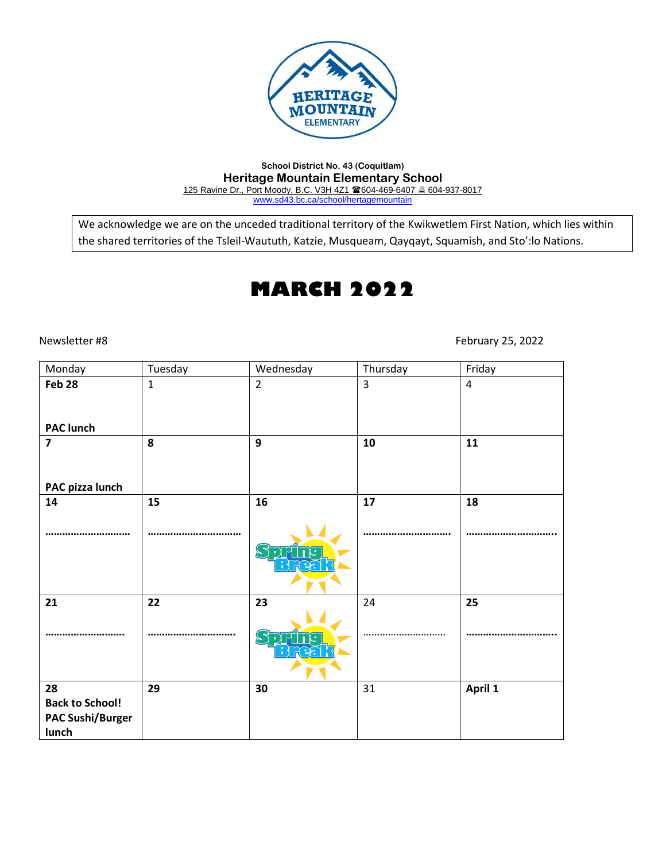

### **School District No. 43 (Coquitlam) Heritage Mountain Elementary School** 125 Ravine Dr., Port Moody, B.C. V3H 4Z1 604-469-6407 604-937-8017 [www.sd43.bc.ca/school/hertagemountain](http://www.sd43.bc.ca/school/hertagemountain)

We acknowledge we are on the unceded traditional territory of the Kwikwetlem First Nation, which lies within the shared territories of the Tsleil-Waututh, Katzie, Musqueam, Qayqayt, Squamish, and Sto':lo Nations.

# **MARCH 2022**

Newsletter #8 February 25, 2022

| Monday                                                           | Tuesday      | Wednesday      | Thursday | Friday         |
|------------------------------------------------------------------|--------------|----------------|----------|----------------|
| Feb 28                                                           | $\mathbf{1}$ | $\overline{2}$ | 3        | $\overline{4}$ |
| <b>PAC lunch</b>                                                 |              |                |          |                |
| $\overline{\mathbf{z}}$                                          | 8            | 9              | 10       | 11             |
| PAC pizza lunch                                                  |              |                |          |                |
| 14                                                               | 15           | 16             | 17       | 18             |
|                                                                  |              |                |          |                |
| 21                                                               | 22           | 23             | 24       | 25             |
|                                                                  |              |                |          |                |
| 28<br><b>Back to School!</b><br><b>PAC Sushi/Burger</b><br>lunch | 29           | 30             | 31       | April 1        |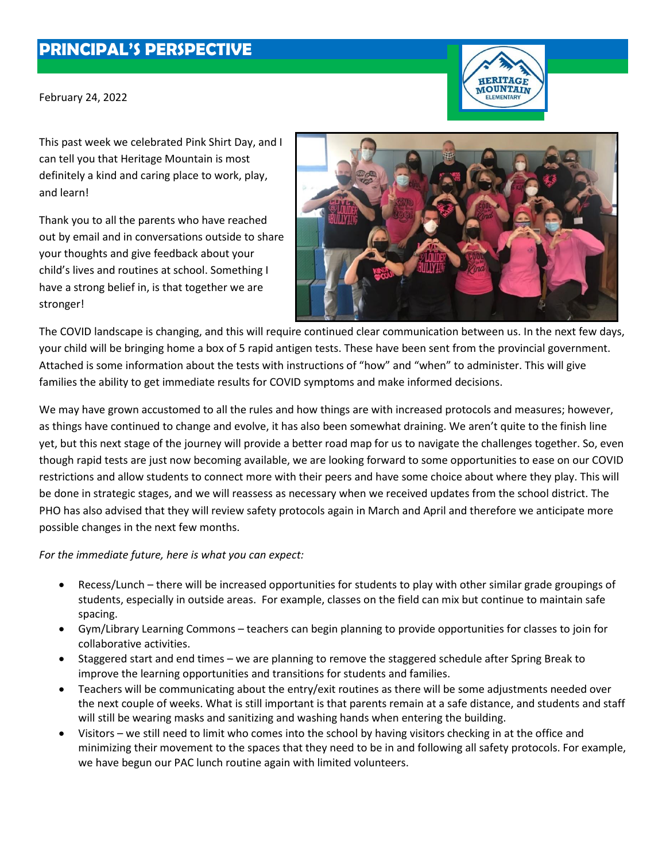## **PRINCIPAL'S PERSPECTIVE**

February 24, 2022



This past week we celebrated Pink Shirt Day, and I can tell you that Heritage Mountain is most definitely a kind and caring place to work, play, and learn!

Thank you to all the parents who have reached out by email and in conversations outside to share your thoughts and give feedback about your child's lives and routines at school. Something I have a strong belief in, is that together we are stronger!



The COVID landscape is changing, and this will require continued clear communication between us. In the next few days, your child will be bringing home a box of 5 rapid antigen tests. These have been sent from the provincial government. Attached is some information about the tests with instructions of "how" and "when" to administer. This will give families the ability to get immediate results for COVID symptoms and make informed decisions.

We may have grown accustomed to all the rules and how things are with increased protocols and measures; however, as things have continued to change and evolve, it has also been somewhat draining. We aren't quite to the finish line yet, but this next stage of the journey will provide a better road map for us to navigate the challenges together. So, even though rapid tests are just now becoming available, we are looking forward to some opportunities to ease on our COVID restrictions and allow students to connect more with their peers and have some choice about where they play. This will be done in strategic stages, and we will reassess as necessary when we received updates from the school district. The PHO has also advised that they will review safety protocols again in March and April and therefore we anticipate more possible changes in the next few months.

*For the immediate future, here is what you can expect:*

- Recess/Lunch there will be increased opportunities for students to play with other similar grade groupings of students, especially in outside areas. For example, classes on the field can mix but continue to maintain safe spacing.
- Gym/Library Learning Commons teachers can begin planning to provide opportunities for classes to join for collaborative activities.
- Staggered start and end times we are planning to remove the staggered schedule after Spring Break to improve the learning opportunities and transitions for students and families.
- Teachers will be communicating about the entry/exit routines as there will be some adjustments needed over the next couple of weeks. What is still important is that parents remain at a safe distance, and students and staff will still be wearing masks and sanitizing and washing hands when entering the building.
- Visitors we still need to limit who comes into the school by having visitors checking in at the office and minimizing their movement to the spaces that they need to be in and following all safety protocols. For example, we have begun our PAC lunch routine again with limited volunteers.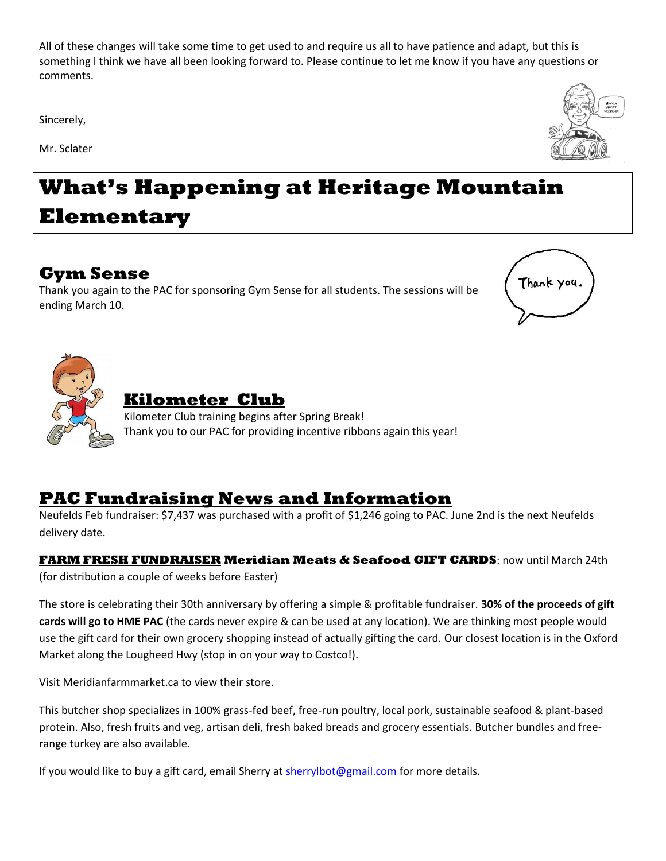All of these changes will take some time to get used to and require us all to have patience and adapt, but this is something I think we have all been looking forward to. Please continue to let me know if you have any questions or comments.

Sincerely,

Mr. Sclater



# **What's Happening at Heritage Mountain Elementary**

## **Gym Sense**

Thank you again to the PAC for sponsoring Gym Sense for all students. The sessions will be ending March 10.





## **Kilometer Club**

Kilometer Club training begins after Spring Break! Thank you to our PAC for providing incentive ribbons again this year!

## **PAC Fundraising News and Information**

Neufelds Feb fundraiser: \$7,437 was purchased with a profit of \$1,246 going to PAC. June 2nd is the next Neufelds delivery date.

**FARM FRESH FUNDRAISER Meridian Meats & Seafood GIFT CARDS**: now until March 24th (for distribution a couple of weeks before Easter)

The store is celebrating their 30th anniversary by offering a simple & profitable fundraiser. **30% of the proceeds of gift cards will go to HME PAC** (the cards never expire & can be used at any location). We are thinking most people would use the gift card for their own grocery shopping instead of actually gifting the card. Our closest location is in the Oxford Market along the Lougheed Hwy (stop in on your way to Costco!).

Visit Meridianfarmmarket.ca to view their store.

This butcher shop specializes in 100% grass-fed beef, free-run poultry, local pork, sustainable seafood & plant-based protein. Also, fresh fruits and veg, artisan deli, fresh baked breads and grocery essentials. Butcher bundles and freerange turkey are also available.

If you would like to buy a gift card, email Sherry a[t sherrylbot@gmail.com](mailto:sherrylbot@gmail.com) for more details.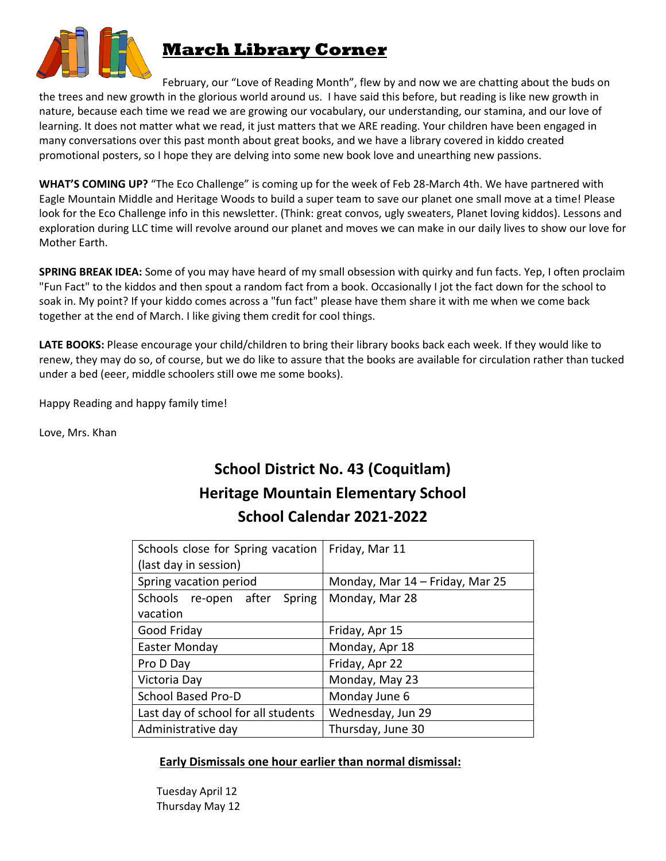

## **March Library Corner**

February, our "Love of Reading Month", flew by and now we are chatting about the buds on the trees and new growth in the glorious world around us. I have said this before, but reading is like new growth in nature, because each time we read we are growing our vocabulary, our understanding, our stamina, and our love of learning. It does not matter what we read, it just matters that we ARE reading. Your children have been engaged in many conversations over this past month about great books, and we have a library covered in kiddo created promotional posters, so I hope they are delving into some new book love and unearthing new passions.

**WHAT'S COMING UP?** "The Eco Challenge" is coming up for the week of Feb 28-March 4th. We have partnered with Eagle Mountain Middle and Heritage Woods to build a super team to save our planet one small move at a time! Please look for the Eco Challenge info in this newsletter. (Think: great convos, ugly sweaters, Planet loving kiddos). Lessons and exploration during LLC time will revolve around our planet and moves we can make in our daily lives to show our love for Mother Earth.

**SPRING BREAK IDEA:** Some of you may have heard of my small obsession with quirky and fun facts. Yep, I often proclaim "Fun Fact" to the kiddos and then spout a random fact from a book. Occasionally I jot the fact down for the school to soak in. My point? If your kiddo comes across a "fun fact" please have them share it with me when we come back together at the end of March. I like giving them credit for cool things.

**LATE BOOKS:** Please encourage your child/children to bring their library books back each week. If they would like to renew, they may do so, of course, but we do like to assure that the books are available for circulation rather than tucked under a bed (eeer, middle schoolers still owe me some books).

Happy Reading and happy family time!

Love, Mrs. Khan

## **School District No. 43 (Coquitlam) Heritage Mountain Elementary School School Calendar 2021-2022**

| Schools close for Spring vacation   | Friday, Mar 11                  |  |
|-------------------------------------|---------------------------------|--|
| (last day in session)               |                                 |  |
| Spring vacation period              | Monday, Mar 14 - Friday, Mar 25 |  |
| Schools re-open after Spring        | Monday, Mar 28                  |  |
| vacation                            |                                 |  |
| Good Friday                         | Friday, Apr 15                  |  |
| Easter Monday                       | Monday, Apr 18                  |  |
| Pro D Day                           | Friday, Apr 22                  |  |
| Victoria Day                        | Monday, May 23                  |  |
| School Based Pro-D                  | Monday June 6                   |  |
| Last day of school for all students | Wednesday, Jun 29               |  |
| Administrative day                  | Thursday, June 30               |  |

### **Early Dismissals one hour earlier than normal dismissal:**

 Tuesday April 12 Thursday May 12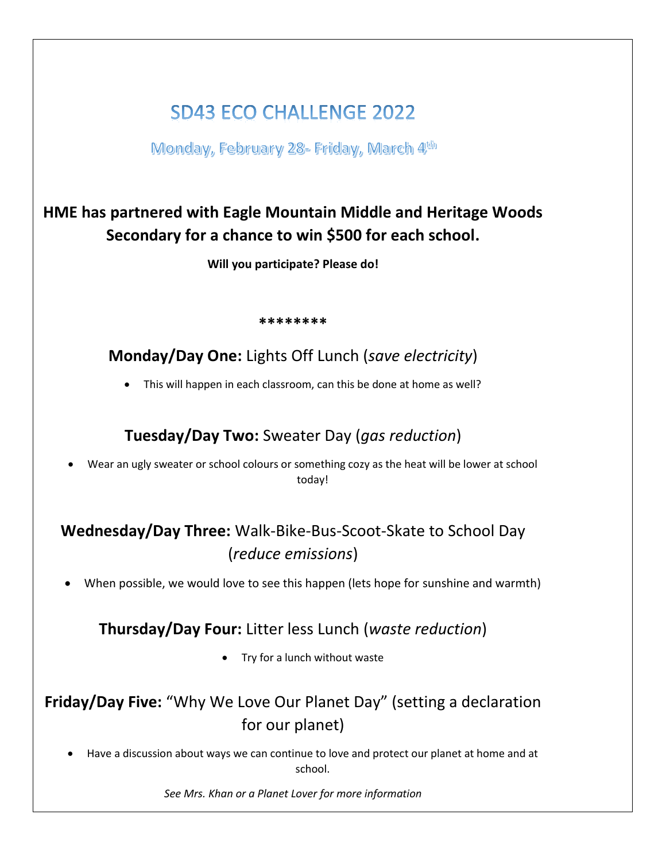## **SD43 ECO CHALLENGE 2022**

Monday, February 28- Friday, March 4th

## **HME has partnered with Eagle Mountain Middle and Heritage Woods Secondary for a chance to win \$500 for each school.**

**Will you participate? Please do!**

### **\*\*\*\*\*\*\*\***

**Monday/Day One:** Lights Off Lunch (*save electricity*)

• This will happen in each classroom, can this be done at home as well?

## **Tuesday/Day Two:** Sweater Day (*gas reduction*)

• Wear an ugly sweater or school colours or something cozy as the heat will be lower at school today!

## **Wednesday/Day Three:** Walk-Bike-Bus-Scoot-Skate to School Day (*reduce emissions*)

• When possible, we would love to see this happen (lets hope for sunshine and warmth)

### **Thursday/Day Four:** Litter less Lunch (*waste reduction*)

Try for a lunch without waste

## **Friday/Day Five:** "Why We Love Our Planet Day" (setting a declaration for our planet)

• Have a discussion about ways we can continue to love and protect our planet at home and at school.

*See Mrs. Khan or a Planet Lover for more information*